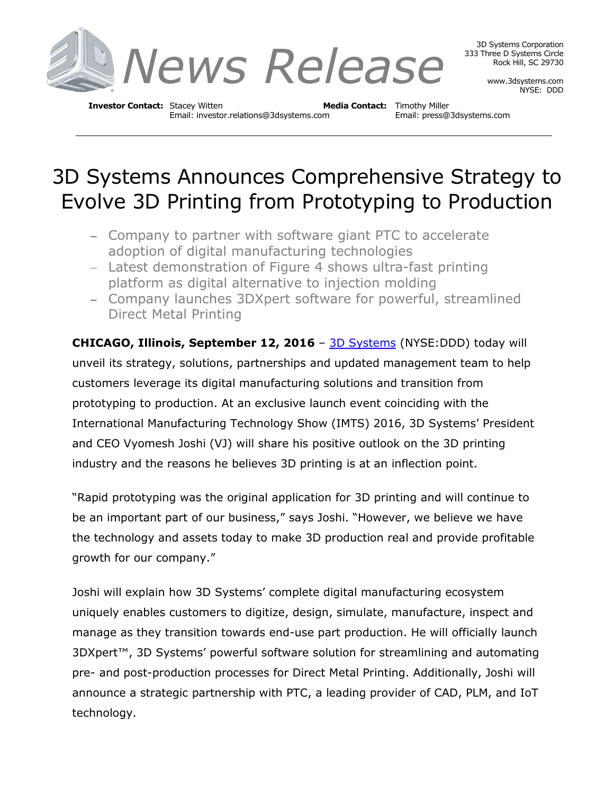

3D Systems Corporation 333 Three D Systems Circle Rock Hill, SC 29730

> www.3dsystems.com NYSE: DDD

**Investor Contact:** Stacey Witten **Media Contact:** Timothy Miller Email: investor.relations@3dsystems.com Email: press@3dsystems.com

# 3D Systems Announces Comprehensive Strategy to Evolve 3D Printing from Prototyping to Production

- Company to partner with software giant PTC to accelerate adoption of digital manufacturing technologies
- Latest demonstration of Figure 4 shows ultra-fast printing platform as digital alternative to injection molding
- Company launches 3DXpert software for powerful, streamlined Direct Metal Printing

**CHICAGO, Illinois, September 12, 2016** – [3D Systems](http://3dsystems.com/) (NYSE:DDD) today will unveil its strategy, solutions, partnerships and updated management team to help customers leverage its digital manufacturing solutions and transition from prototyping to production. At an exclusive launch event coinciding with the International Manufacturing Technology Show (IMTS) 2016, 3D Systems' President and CEO Vyomesh Joshi (VJ) will share his positive outlook on the 3D printing industry and the reasons he believes 3D printing is at an inflection point.

"Rapid prototyping was the original application for 3D printing and will continue to be an important part of our business," says Joshi. "However, we believe we have the technology and assets today to make 3D production real and provide profitable growth for our company."

Joshi will explain how 3D Systems' complete digital manufacturing ecosystem uniquely enables customers to digitize, design, simulate, manufacture, inspect and manage as they transition towards end-use part production. He will officially launch 3DXpert™, 3D Systems' powerful software solution for streamlining and automating pre- and post-production processes for Direct Metal Printing. Additionally, Joshi will announce a strategic partnership with PTC, a leading provider of CAD, PLM, and IoT technology.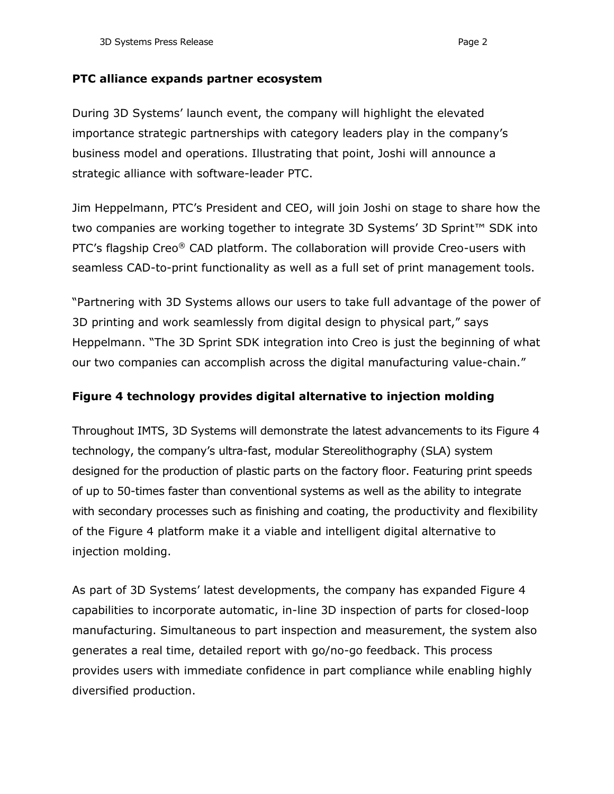#### **PTC alliance expands partner ecosystem**

During 3D Systems' launch event, the company will highlight the elevated importance strategic partnerships with category leaders play in the company's business model and operations. Illustrating that point, Joshi will announce a strategic alliance with software-leader PTC.

Jim Heppelmann, PTC's President and CEO, will join Joshi on stage to share how the two companies are working together to integrate 3D Systems' 3D Sprint™ SDK into PTC's flagship Creo® CAD platform. The collaboration will provide Creo-users with seamless CAD-to-print functionality as well as a full set of print management tools.

"Partnering with 3D Systems allows our users to take full advantage of the power of 3D printing and work seamlessly from digital design to physical part," says Heppelmann. "The 3D Sprint SDK integration into Creo is just the beginning of what our two companies can accomplish across the digital manufacturing value-chain."

## **Figure 4 technology provides digital alternative to injection molding**

Throughout IMTS, 3D Systems will demonstrate the latest advancements to its Figure 4 technology, the company's ultra-fast, modular Stereolithography (SLA) system designed for the production of plastic parts on the factory floor. Featuring print speeds of up to 50-times faster than conventional systems as well as the ability to integrate with secondary processes such as finishing and coating, the productivity and flexibility of the Figure 4 platform make it a viable and intelligent digital alternative to injection molding.

As part of 3D Systems' latest developments, the company has expanded Figure 4 capabilities to incorporate automatic, in-line 3D inspection of parts for closed-loop manufacturing. Simultaneous to part inspection and measurement, the system also generates a real time, detailed report with go/no-go feedback. This process provides users with immediate confidence in part compliance while enabling highly diversified production.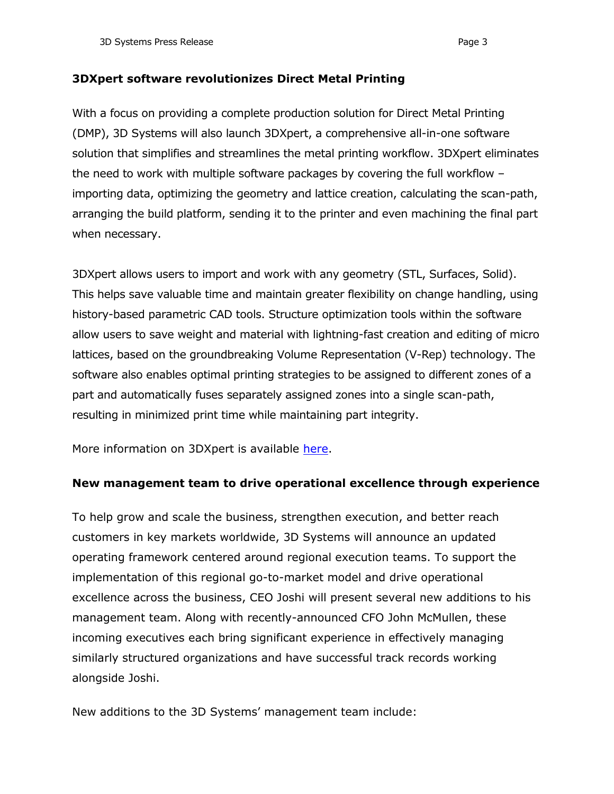#### **3DXpert software revolutionizes Direct Metal Printing**

With a focus on providing a complete production solution for Direct Metal Printing (DMP), 3D Systems will also launch 3DXpert, a comprehensive all-in-one software solution that simplifies and streamlines the metal printing workflow. 3DXpert eliminates the need to work with multiple software packages by covering the full workflow – importing data, optimizing the geometry and lattice creation, calculating the scan-path, arranging the build platform, sending it to the printer and even machining the final part when necessary.

3DXpert allows users to import and work with any geometry (STL, Surfaces, Solid). This helps save valuable time and maintain greater flexibility on change handling, using history-based parametric CAD tools. Structure optimization tools within the software allow users to save weight and material with lightning-fast creation and editing of micro lattices, based on the groundbreaking Volume Representation (V-Rep) technology. The software also enables optimal printing strategies to be assigned to different zones of a part and automatically fuses separately assigned zones into a single scan-path, resulting in minimized print time while maintaining part integrity.

More information on 3DXpert is available [here.](http://www.3dsystems.com/software/3dxpert)

### **New management team to drive operational excellence through experience**

To help grow and scale the business, strengthen execution, and better reach customers in key markets worldwide, 3D Systems will announce an updated operating framework centered around regional execution teams. To support the implementation of this regional go-to-market model and drive operational excellence across the business, CEO Joshi will present several new additions to his management team. Along with recently-announced CFO John McMullen, these incoming executives each bring significant experience in effectively managing similarly structured organizations and have successful track records working alongside Joshi.

New additions to the 3D Systems' management team include: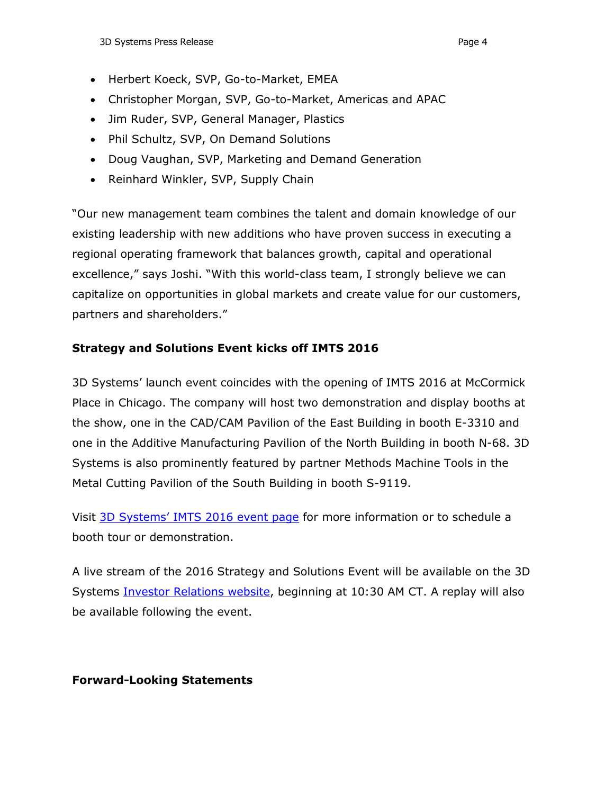- Herbert Koeck, SVP, Go-to-Market, EMEA
- Christopher Morgan, SVP, Go-to-Market, Americas and APAC
- Jim Ruder, SVP, General Manager, Plastics
- Phil Schultz, SVP, On Demand Solutions
- Doug Vaughan, SVP, Marketing and Demand Generation
- Reinhard Winkler, SVP, Supply Chain

"Our new management team combines the talent and domain knowledge of our existing leadership with new additions who have proven success in executing a regional operating framework that balances growth, capital and operational excellence," says Joshi. "With this world-class team, I strongly believe we can capitalize on opportunities in global markets and create value for our customers, partners and shareholders."

# **Strategy and Solutions Event kicks off IMTS 2016**

3D Systems' launch event coincides with the opening of IMTS 2016 at McCormick Place in Chicago. The company will host two demonstration and display booths at the show, one in the CAD/CAM Pavilion of the East Building in booth E-3310 and one in the Additive Manufacturing Pavilion of the North Building in booth N-68. 3D Systems is also prominently featured by partner Methods Machine Tools in the Metal Cutting Pavilion of the South Building in booth S-9119.

Visit [3D Systems' IMTS 2016 event page](http://events.3dsystems.com/imts2016/) for more information or to schedule a booth tour or demonstration.

A live stream of the 2016 Strategy and Solutions Event will be available on the 3D Systems [Investor Relations website,](http://3dsystems.com/investor) beginning at 10:30 AM CT. A replay will also be available following the event.

# **Forward-Looking Statements**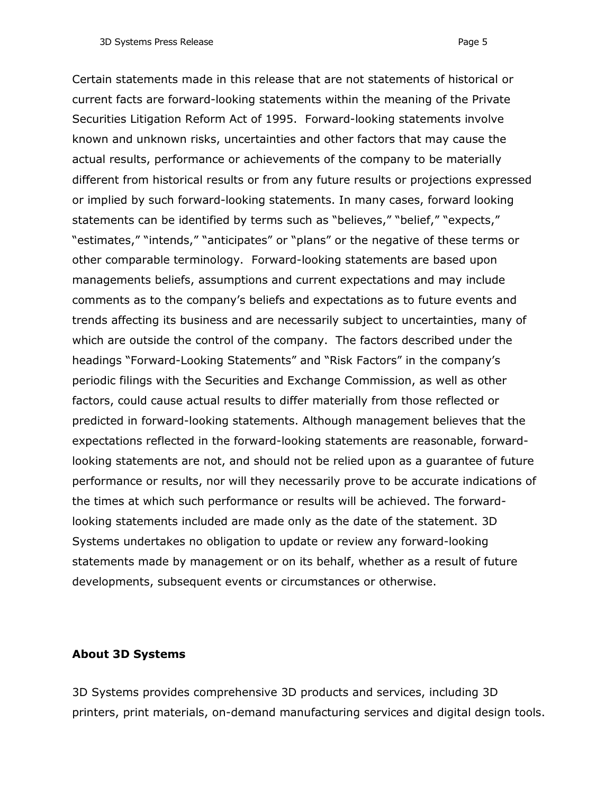Certain statements made in this release that are not statements of historical or current facts are forward-looking statements within the meaning of the Private Securities Litigation Reform Act of 1995. Forward-looking statements involve known and unknown risks, uncertainties and other factors that may cause the actual results, performance or achievements of the company to be materially different from historical results or from any future results or projections expressed or implied by such forward-looking statements. In many cases, forward looking statements can be identified by terms such as "believes," "belief," "expects," "estimates," "intends," "anticipates" or "plans" or the negative of these terms or other comparable terminology. Forward-looking statements are based upon managements beliefs, assumptions and current expectations and may include comments as to the company's beliefs and expectations as to future events and trends affecting its business and are necessarily subject to uncertainties, many of which are outside the control of the company. The factors described under the headings "Forward-Looking Statements" and "Risk Factors" in the company's periodic filings with the Securities and Exchange Commission, as well as other factors, could cause actual results to differ materially from those reflected or predicted in forward-looking statements. Although management believes that the expectations reflected in the forward-looking statements are reasonable, forwardlooking statements are not, and should not be relied upon as a guarantee of future performance or results, nor will they necessarily prove to be accurate indications of the times at which such performance or results will be achieved. The forwardlooking statements included are made only as the date of the statement. 3D Systems undertakes no obligation to update or review any forward-looking statements made by management or on its behalf, whether as a result of future developments, subsequent events or circumstances or otherwise.

#### **About 3D Systems**

3D Systems provides comprehensive 3D products and services, including 3D printers, print materials, on-demand manufacturing services and digital design tools.